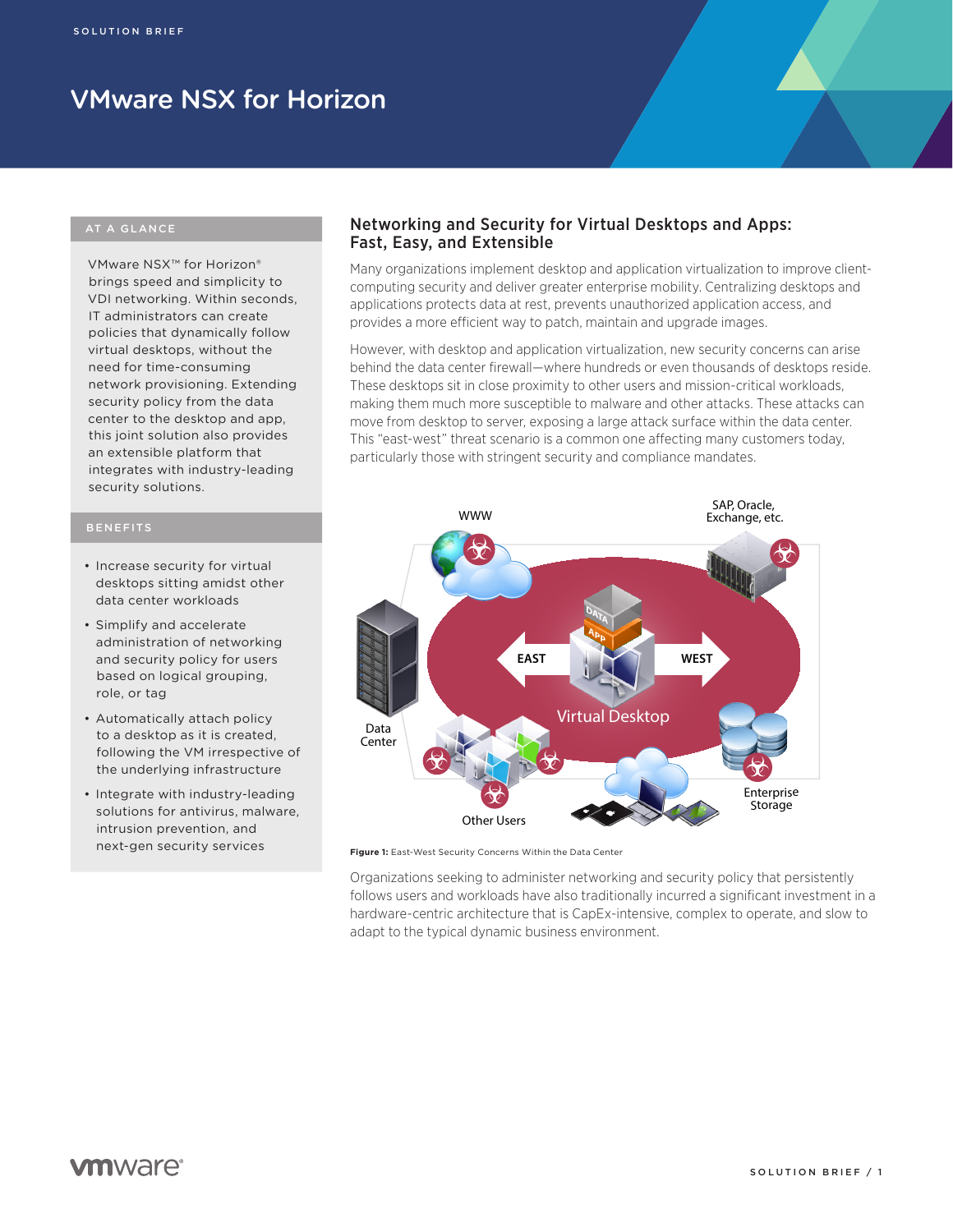# VMware NSX for Horizon

VMware NSX™ for Horizon® brings speed and simplicity to VDI networking. Within seconds, IT administrators can create policies that dynamically follow virtual desktops, without the need for time-consuming network provisioning. Extending security policy from the data center to the desktop and app, this joint solution also provides an extensible platform that integrates with industry-leading security solutions.

# BENEFITS

- Increase security for virtual desktops sitting amidst other data center workloads
- • Simplify and accelerate administration of networking and security policy for users based on logical grouping, role, or tag
- Automatically attach policy to a desktop as it is created, following the VM irrespective of the underlying infrastructure
- Integrate with industry-leading solutions for antivirus, malware, intrusion prevention, and next-gen security services

# Networking and Security for Virtual Desktops and Apps: Fast, Easy, and Extensible

Many organizations implement desktop and application virtualization to improve clientcomputing security and deliver greater enterprise mobility. Centralizing desktops and applications protects data at rest, prevents unauthorized application access, and provides a more efficient way to patch, maintain and upgrade images.

However, with desktop and application virtualization, new security concerns can arise behind the data center firewall—where hundreds or even thousands of desktops reside. These desktops sit in close proximity to other users and mission-critical workloads, making them much more susceptible to malware and other attacks. These attacks can move from desktop to server, exposing a large attack surface within the data center. This "east-west" threat scenario is a common one affecting many customers today, particularly those with stringent security and compliance mandates.



**Figure 1:** East-West Security Concerns Within the Data Center

Organizations seeking to administer networking and security policy that persistently follows users and workloads have also traditionally incurred a significant investment in a hardware-centric architecture that is CapEx-intensive, complex to operate, and slow to adapt to the typical dynamic business environment.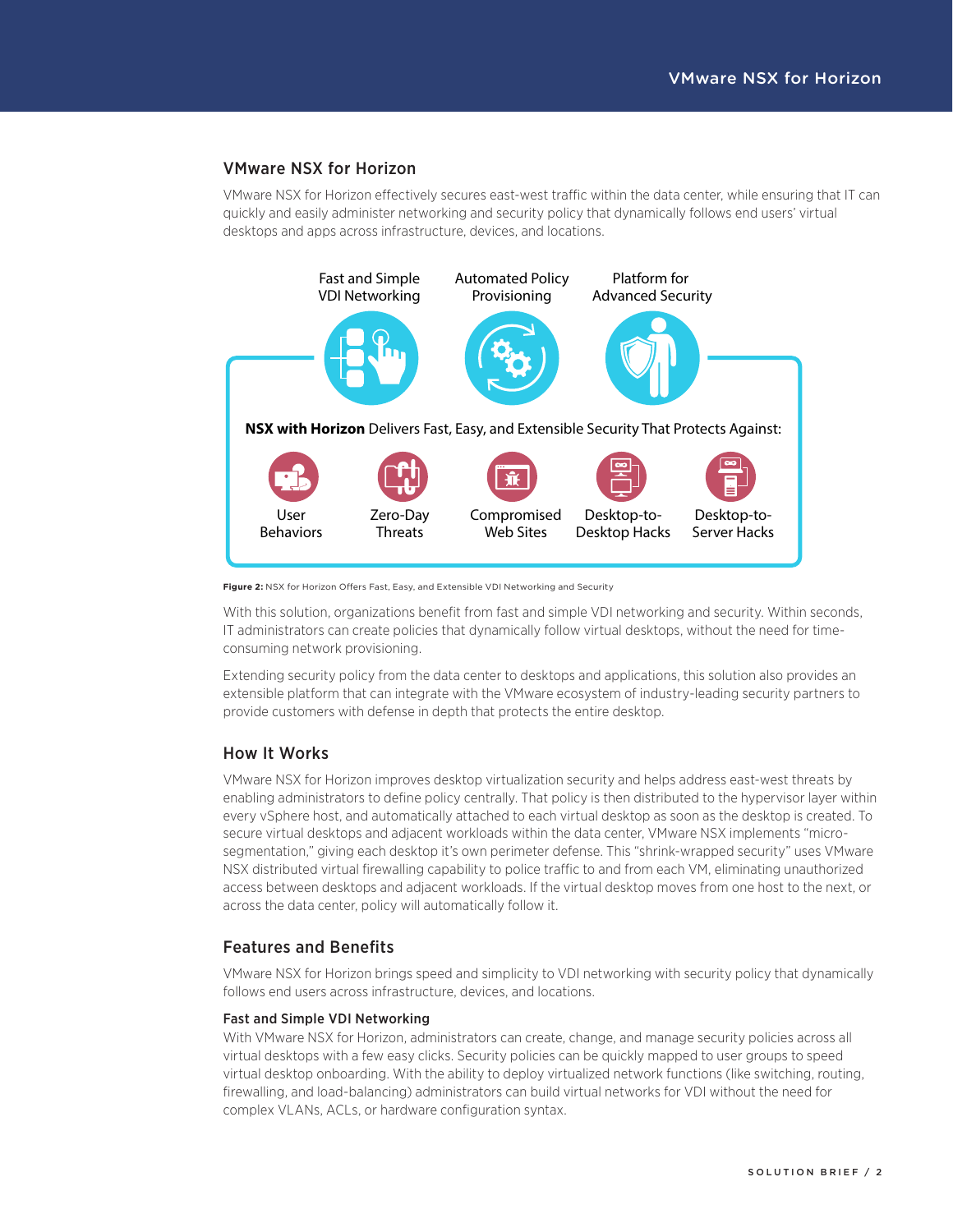# VMware NSX for Horizon

VMware NSX for Horizon effectively secures east-west traffic within the data center, while ensuring that IT can quickly and easily administer networking and security policy that dynamically follows end users' virtual desktops and apps across infrastructure, devices, and locations.



**Figure 2:** NSX for Horizon Offers Fast, Easy, and Extensible VDI Networking and Security

With this solution, organizations benefit from fast and simple VDI networking and security. Within seconds, IT administrators can create policies that dynamically follow virtual desktops, without the need for timeconsuming network provisioning.

Extending security policy from the data center to desktops and applications, this solution also provides an extensible platform that can integrate with the VMware ecosystem of industry-leading security partners to provide customers with defense in depth that protects the entire desktop.

# How It Works

VMware NSX for Horizon improves desktop virtualization security and helps address east-west threats by enabling administrators to define policy centrally. That policy is then distributed to the hypervisor layer within every vSphere host, and automatically attached to each virtual desktop as soon as the desktop is created. To secure virtual desktops and adjacent workloads within the data center, VMware NSX implements "microsegmentation," giving each desktop it's own perimeter defense. This "shrink-wrapped security" uses VMware NSX distributed virtual firewalling capability to police traffic to and from each VM, eliminating unauthorized access between desktops and adjacent workloads. If the virtual desktop moves from one host to the next, or across the data center, policy will automatically follow it.

# Features and Benefits

VMware NSX for Horizon brings speed and simplicity to VDI networking with security policy that dynamically follows end users across infrastructure, devices, and locations.

# Fast and Simple VDI Networking

With VMware NSX for Horizon, administrators can create, change, and manage security policies across all virtual desktops with a few easy clicks. Security policies can be quickly mapped to user groups to speed virtual desktop onboarding. With the ability to deploy virtualized network functions (like switching, routing, firewalling, and load-balancing) administrators can build virtual networks for VDI without the need for complex VLANs, ACLs, or hardware configuration syntax.